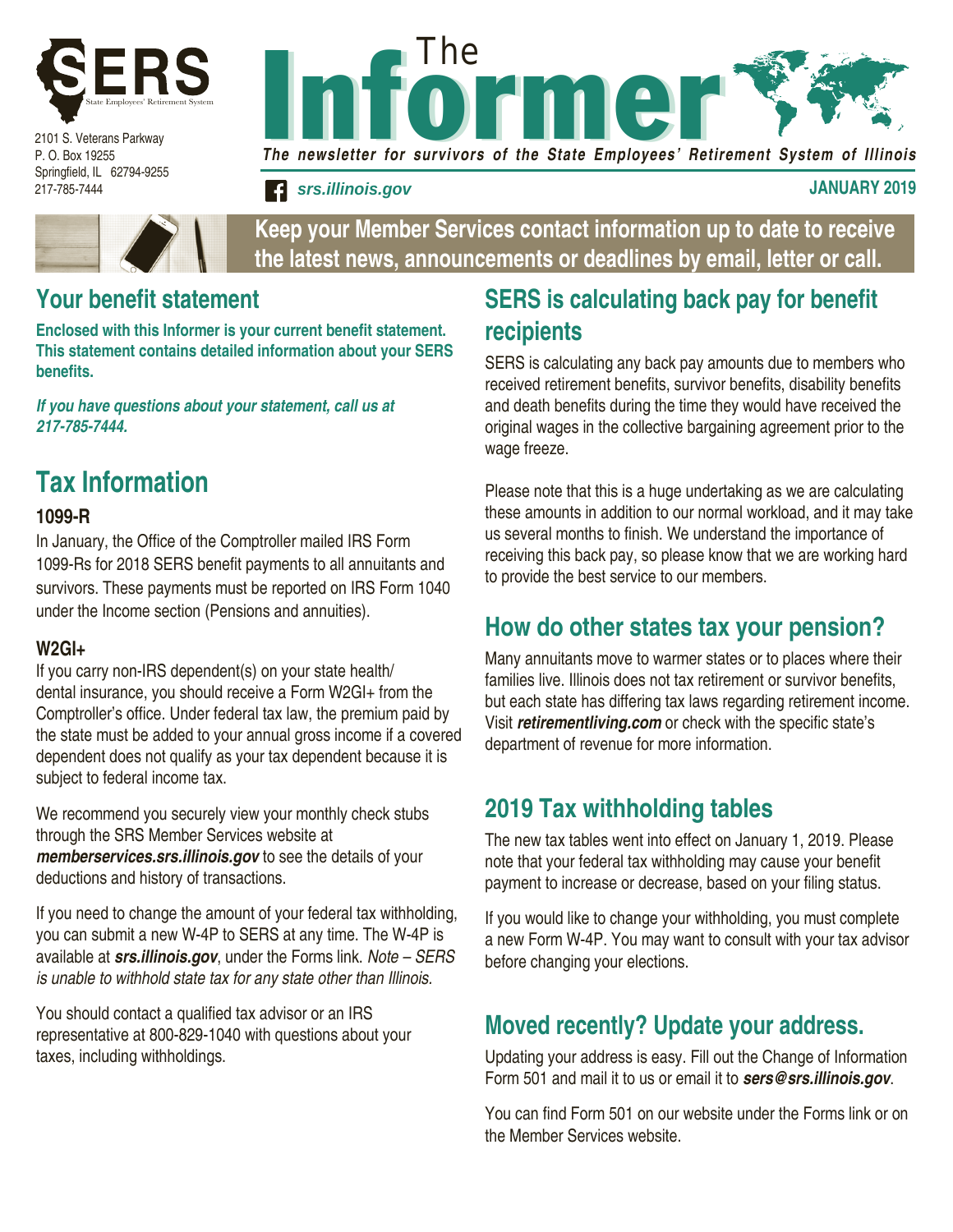

2101 S. Veterans Parkway P. O. Box 19255 Springfield, IL 62794-9255 217-785-7444



The newsletter for survivors of the State Employees' Retirement System of Illinois

**signal in the set of the state of the state of the state of the state of the state of the state of the state of the state of the state of the state of the state of the state of the state of the state of the state of the s** 

**Keep your Member Services contact information up to date to receive the latest news, announcements or deadlines by email, letter or call.**

### **Your benefit statement**

**Enclosed with this Informer is your current benefit statement. This statement contains detailed information about your SERS benefits.** 

*If you have questions about your statement, call us at 217-785-7444.*

# **Tax Information**

#### **1099-R**

In January, the Office of the Comptroller mailed IRS Form 1099-Rs for 2018 SERS benefit payments to all annuitants and survivors. These payments must be reported on IRS Form 1040 under the Income section (Pensions and annuities).

#### **W2GI+**

If you carry non-IRS dependent(s) on your state health/ dental insurance, you should receive a Form W2GI+ from the Comptroller's office. Under federal tax law, the premium paid by the state must be added to your annual gross income if a covered dependent does not qualify as your tax dependent because it is subject to federal income tax.

We recommend you securely view your monthly check stubs through the SRS Member Services website at *memberservices.srs.illinois.gov* to see the details of your deductions and history of transactions.

If you need to change the amount of your federal tax withholding, you can submit a new W-4P to SERS at any time. The W-4P is available at *srs.illinois.gov*, under the Forms link. *Note – SERS is unable to withhold state tax for any state other than Illinois.*

You should contact a qualified tax advisor or an IRS representative at 800-829-1040 with questions about your taxes, including withholdings.

# **SERS is calculating back pay for benefit recipients**

SERS is calculating any back pay amounts due to members who received retirement benefits, survivor benefits, disability benefits and death benefits during the time they would have received the original wages in the collective bargaining agreement prior to the wage freeze.

Please note that this is a huge undertaking as we are calculating these amounts in addition to our normal workload, and it may take us several months to finish. We understand the importance of receiving this back pay, so please know that we are working hard to provide the best service to our members.

# **How do other states tax your pension?**

Many annuitants move to warmer states or to places where their families live. Illinois does not tax retirement or survivor benefits, but each state has differing tax laws regarding retirement income. Visit *retirementliving.com* or check with the specific state's department of revenue for more information.

# **2019 Tax withholding tables**

The new tax tables went into effect on January 1, 2019. Please note that your federal tax withholding may cause your benefit payment to increase or decrease, based on your filing status.

If you would like to change your withholding, you must complete a new Form W-4P. You may want to consult with your tax advisor before changing your elections.

# **Moved recently? Update your address.**

Updating your address is easy. Fill out the Change of Information Form 501 and mail it to us or email it to *sers@srs.illinois.gov*.

You can find Form 501 on our website under the Forms link or on the Member Services website.